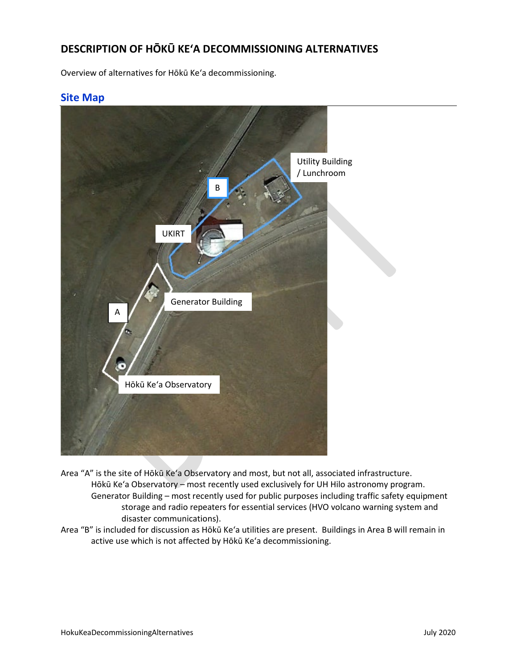## **DESCRIPTION OF HŌKŪ KEʻA DECOMMISSIONING ALTERNATIVES**

Overview of alternatives for Hōkū Keʻa decommissioning.

## **Site Map**



- Area "A" is the site of Hōkū Keʻa Observatory and most, but not all, associated infrastructure. Hōkū Keʻa Observatory – most recently used exclusively for UH Hilo astronomy program. Generator Building – most recently used for public purposes including traffic safety equipment storage and radio repeaters for essential services (HVO volcano warning system and disaster communications).
- Area "B" is included for discussion as Hōkū Keʻa utilities are present. Buildings in Area B will remain in active use which is not affected by Hōkū Keʻa decommissioning.